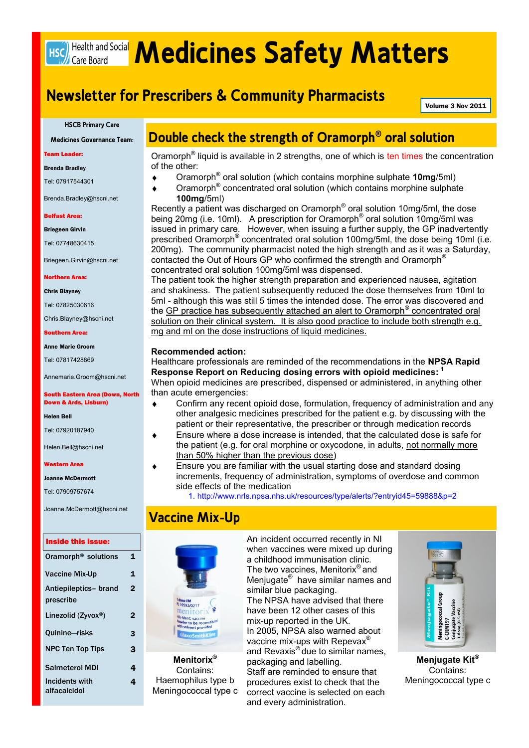# **HSC)** Health and Social **Medicines Safety Matters**

# **Newsletter for Prescribers & Community Pharmacists**

Volume 3 Nov 2011

#### **HSCB Primary Care**

**Medicines Governance Team:**

 $\bullet$ 

 $\bullet$ 

 $\bullet$ 

Team Leader:

Brenda Bradley

Tel: 07917544301

Brenda.Bradley@hscni.net

#### Belfast Area:

Briegeen Girvin

Tel: 07748630415

Briegeen.Girvin@hscni.net

Northern Area:

Chris Blayney

Tel: 07825030616

Chris.Blayney@hscni.net

#### Southern Area:

#### Anne Marie Groom

Tel: 07817428869

Annemarie.Groom@hscni.net

South Eastern Area (Down, North Down & Ards, Lisburn)

Helen Bell

Tel: 07920187940

Helen.Bell@hscni.net

Western Area

Joanne McDermott

Tel: 07909757674

Joanne.McDermott@hscni.net

#### Inside this issue:

| Oramorph <sup>®</sup> solutions    | 1              |
|------------------------------------|----------------|
| <b>Vaccine Mix-Up</b>              | 1              |
| Antiepileptics- brand<br>prescribe | $\overline{2}$ |
| Linezolid (Zyvox®)                 | 2              |
| Quinine-risks                      | 3              |
| <b>NPC Ten Top Tips</b>            | 3              |
| <b>Salmeterol MDI</b>              | 4              |
| Incidents with<br>alfacalcidol     | 4              |

## **Double check the strength of Oramorph® oral solution**

Oramorph<sup>®</sup> liquid is available in 2 strengths, one of which is ten times the concentration of the other:

- Oramorph® oral solution (which contains morphine sulphate **10mg**/5ml)
- Oramorph<sup>®</sup> concentrated oral solution (which contains morphine sulphate **100mg**/5ml)

Recently a patient was discharged on Oramorph<sup>®</sup> oral solution 10mg/5ml, the dose being 20mg (i.e. 10ml). A prescription for Oramorph<sup>®</sup> oral solution 10mg/5ml was issued in primary care. However, when issuing a further supply, the GP inadvertently prescribed Oramorph<sup>®</sup> concentrated oral solution 100mg/5ml, the dose being 10ml (i.e. 200mg). The community pharmacist noted the high strength and as it was a Saturday, contacted the Out of Hours GP who confirmed the strength and Oramorph® concentrated oral solution 100mg/5ml was dispensed.

The patient took the higher strength preparation and experienced nausea, agitation and shakiness. The patient subsequently reduced the dose themselves from 10ml to 5ml - although this was still 5 times the intended dose. The error was discovered and the GP practice has subsequently attached an alert to Oramorph<sup>®</sup> concentrated oral solution on their clinical system. It is also good practice to include both strength e.g. mg and ml on the dose instructions of liquid medicines.

#### **Recommended action:**

Healthcare professionals are reminded of the recommendations in the **NPSA Rapid Response Report on Reducing dosing errors with opioid medicines: <sup>1</sup>** When opioid medicines are prescribed, dispensed or administered, in anything other than acute emergencies:

- Confirm any recent opioid dose, formulation, frequency of administration and any other analgesic medicines prescribed for the patient e.g. by discussing with the patient or their representative, the prescriber or through medication records
- Ensure where a dose increase is intended, that the calculated dose is safe for  $\bullet$ the patient (e.g. for oral morphine or oxycodone, in adults, not normally more than 50% higher than the previous dose)
	- Ensure you are familiar with the usual starting dose and standard dosing increments, frequency of administration, symptoms of overdose and common side effects of the medication

1. http://www.nrls.npsa.nhs.uk/resources/type/alerts/?entryid45=59888&p=2

## **Vaccine Mix-Up**



**Menitorix®** Contains: Haemophilus type b Meningococcal type c An incident occurred recently in NI when vaccines were mixed up during a childhood immunisation clinic. The two vaccines, Menitorix<sup>®</sup> and Menjugate<sup>®</sup> have similar names and similar blue packaging. The NPSA have advised that there have been 12 other cases of this mix-up reported in the UK. In 2005, NPSA also warned about vaccine mix-ups with Repevax<sup>®</sup> and Revaxis® due to similar names, packaging and labelling. Staff are reminded to ensure that procedures exist to check that the correct vaccine is selected on each and every administration.



**Menjugate Kit®** Contains: Meningococcal type c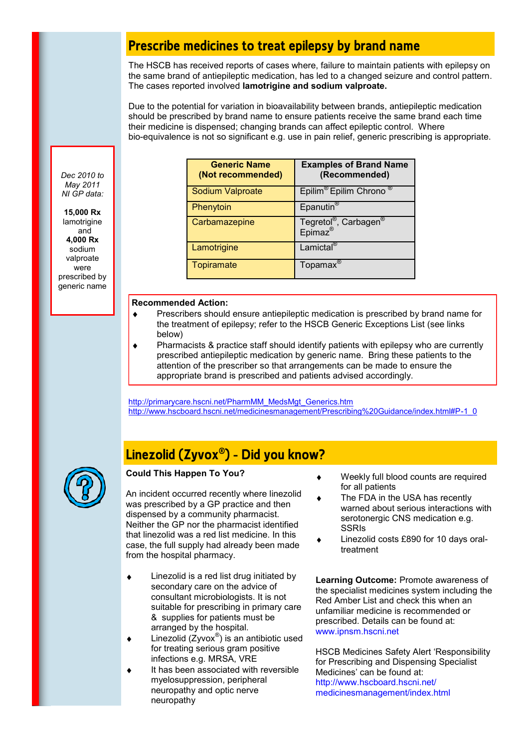## **Prescribe medicines to treat epilepsy by brand name**

The HSCB has received reports of cases where, failure to maintain patients with epilepsy on the same brand of antiepileptic medication, has led to a changed seizure and control pattern. The cases reported involved **lamotrigine and sodium valproate.**

Due to the potential for variation in bioavailability between brands, antiepileptic medication should be prescribed by brand name to ensure patients receive the same brand each time their medicine is dispensed; changing brands can affect epileptic control. Where bio-equivalence is not so significant e.g. use in pain relief, generic prescribing is appropriate.

*Dec 2010 to May 2011 NI GP data:*

**15,000 Rx**  lamotrigine and **4,000 Rx** sodium valproate were prescribed by generic name

| <b>Generic Name</b><br>(Not recommended) | <b>Examples of Brand Name</b><br>(Recommended)                       |  |
|------------------------------------------|----------------------------------------------------------------------|--|
| Sodium Valproate                         | Epilim <sup>®</sup> Epilim Chrono                                    |  |
| Phenytoin                                | Epanutin <sup>®</sup>                                                |  |
| Carbamazepine                            | Tegretol <sup>®</sup> , Carbagen <sup>®</sup><br>Epimaz <sup>®</sup> |  |
| Lamotrigine                              | Lamictal <sup>®</sup>                                                |  |
| Topiramate                               | Topamax <sup>®</sup>                                                 |  |

## **Recommended Action:**

- $\ddot{\bullet}$ Prescribers should ensure antiepileptic medication is prescribed by brand name for the treatment of epilepsy; refer to the HSCB Generic Exceptions List (see links below)
- Pharmacists & practice staff should identify patients with epilepsy who are currently  $\bullet$ prescribed antiepileptic medication by generic name. Bring these patients to the attention of the prescriber so that arrangements can be made to ensure the appropriate brand is prescribed and patients advised accordingly.

[http://primarycare.hscni.net/PharmMM\\_MedsMgt\\_Generics.htm](http://primarycare.hscni.net/PharmMM_MedsMgt_Generics.htm)  [http://www.hscboard.hscni.net/medicinesmanagement/Prescribing%20Guidance/index.html#P-1\\_0](http://www.hscboard.hscni.net/medicinesmanagement/Prescribing%20Guidance/index.html#P-1_0)

# **Linezolid (Zyvox® ) - Did you know?**



## **Could This Happen To You?**

An incident occurred recently where linezolid was prescribed by a GP practice and then dispensed by a community pharmacist. Neither the GP nor the pharmacist identified that linezolid was a red list medicine. In this case, the full supply had already been made from the hospital pharmacy.

- Linezolid is a red list drug initiated by secondary care on the advice of consultant microbiologists. It is not suitable for prescribing in primary care & supplies for patients must be arranged by the hospital.
- Linezolid  $(Zyvox^@)$  is an antibiotic used  $\bullet$ for treating serious gram positive infections e.g. MRSA, VRE
- It has been associated with reversible myelosuppression, peripheral neuropathy and optic nerve neuropathy
- Weekly full blood counts are required for all patients
- The FDA in the USA has recently  $\bullet$ warned about serious interactions with serotonergic CNS medication e.g. SSRIs
- Linezolid costs £890 for 10 days oraltreatment

**Learning Outcome:** Promote awareness of the specialist medicines system including the Red Amber List and check this when an unfamiliar medicine is recommended or prescribed. Details can be found at: www.ipnsm.hscni.net

HSCB Medicines Safety Alert 'Responsibility for Prescribing and Dispensing Specialist Medicines' can be found at: http://www.hscboard.hscni.net/ medicinesmanagement/index.html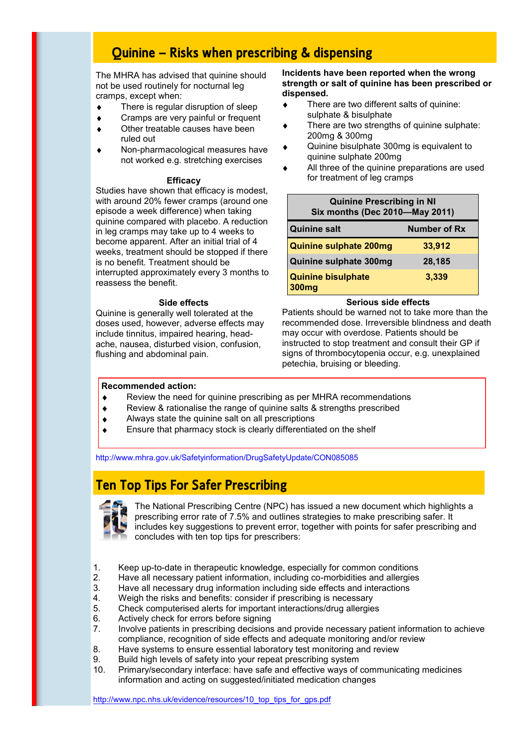# **Quinine — Risks when prescribing & dispensing**

The MHRA has advised that quinine should not be used routinely for nocturnal leg cramps, except when:

- There is regular disruption of sleep  $\bullet$
- Cramps are very painful or frequent  $\bullet$
- Other treatable causes have been  $\bullet$ ruled out
- Non-pharmacological measures have ٠ not worked e.g. stretching exercises

### **Efficacy**

Studies have shown that efficacy is modest, with around 20% fewer cramps (around one episode a week difference) when taking quinine compared with placebo. A reduction in leg cramps may take up to 4 weeks to become apparent. After an initial trial of 4 weeks, treatment should be stopped if there is no benefit. Treatment should be interrupted approximately every 3 months to reassess the benefit.

#### **Side effects**

Quinine is generally well tolerated at the doses used, however, adverse effects may include tinnitus, impaired hearing, headache, nausea, disturbed vision, confusion, flushing and abdominal pain.

### **Incidents have been reported when the wrong strength or salt of quinine has been prescribed or dispensed.**

- There are two different salts of quinine:  $\bullet$ sulphate & bisulphate
- There are two strengths of quinine sulphate: 200mg & 300mg
- Quinine bisulphate 300mg is equivalent to quinine sulphate 200mg
- All three of the quinine preparations are used for treatment of leg cramps

| <b>Quinine Prescribing in NI</b><br>Six months (Dec 2010-May 2011) |              |  |
|--------------------------------------------------------------------|--------------|--|
| <b>Quinine salt</b>                                                | Number of Rx |  |
| <b>Quinine sulphate 200mg</b>                                      | 33,912       |  |
| Quinine sulphate 300mg                                             | 28,185       |  |
| <b>Quinine bisulphate</b><br>300 <sub>mg</sub>                     | 3,339        |  |

#### **Serious side effects**

Patients should be warned not to take more than the recommended dose. Irreversible blindness and death may occur with overdose. Patients should be instructed to stop treatment and consult their GP if signs of thrombocytopenia occur, e.g. unexplained petechia, bruising or bleeding.

#### **Recommended action:**

- Review the need for quinine prescribing as per MHRA recommendations  $\bullet$
- Review & rationalise the range of quinine salts & strengths prescribed
- Always state the quinine salt on all prescriptions
- Ensure that pharmacy stock is clearly differentiated on the shelf

http://www.mhra.gov.uk/Safetyinformation/DrugSafetyUpdate/CON085085

## **Ten Top Tips For Safer Prescribing**



The National Prescribing Centre (NPC) has issued a new document which highlights a prescribing error rate of 7.5% and outlines strategies to make prescribing safer. It includes key suggestions to prevent error, together with points for safer prescribing and concludes with ten top tips for prescribers:

- 1. Keep up-to-date in therapeutic knowledge, especially for common conditions<br>2. Have all necessary patient information, including co-morbidities and allergies
- Have all necessary patient information, including co-morbidities and allergies
- 3. Have all necessary drug information including side effects and interactions
- 4. Weigh the risks and benefits: consider if prescribing is necessary
- 5. Check computerised alerts for important interactions/drug allergies
- 6. Actively check for errors before signing
- 7. Involve patients in prescribing decisions and provide necessary patient information to achieve compliance, recognition of side effects and adequate monitoring and/or review
- 8. Have systems to ensure essential laboratory test monitoring and review
- 9. Build high levels of safety into your repeat prescribing system
- 10. Primary/secondary interface: have safe and effective ways of communicating medicines information and acting on suggested/initiated medication changes